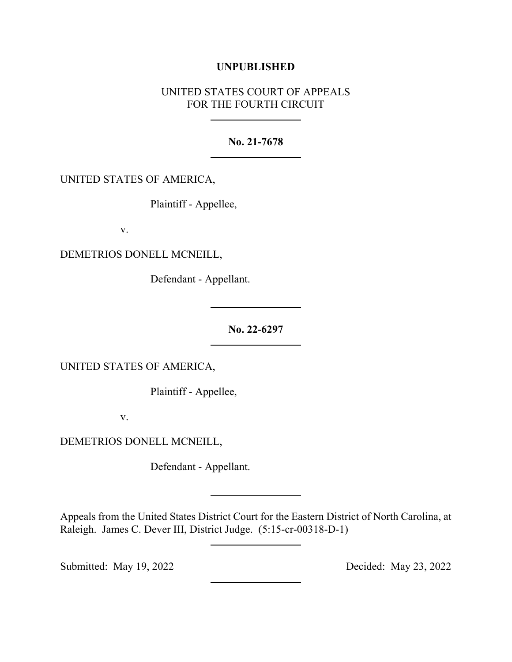## **UNPUBLISHED**

## UNITED STATES COURT OF APPEALS FOR THE FOURTH CIRCUIT

**No. 21-7678**

UNITED STATES OF AMERICA,

Plaintiff - Appellee,

v.

DEMETRIOS DONELL MCNEILL,

Defendant - Appellant.

**No. 22-6297**

UNITED STATES OF AMERICA,

Plaintiff - Appellee,

v.

DEMETRIOS DONELL MCNEILL,

Defendant - Appellant.

Appeals from the United States District Court for the Eastern District of North Carolina, at Raleigh. James C. Dever III, District Judge. (5:15-cr-00318-D-1)

Submitted: May 19, 2022 Decided: May 23, 2022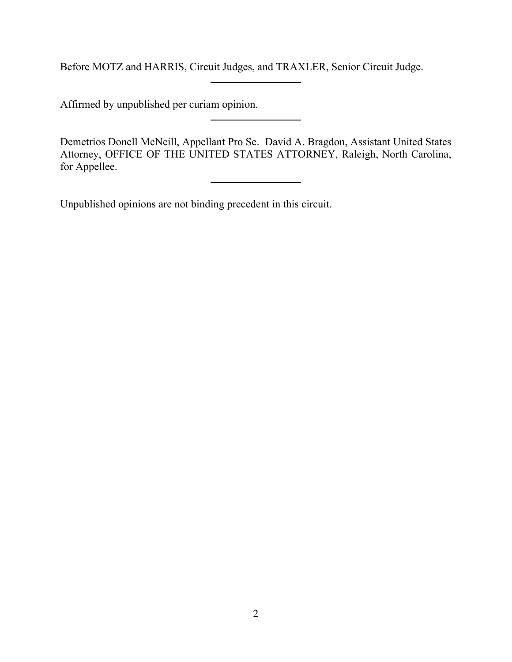Before MOTZ and HARRIS, Circuit Judges, and TRAXLER, Senior Circuit Judge.

Affirmed by unpublished per curiam opinion.

Demetrios Donell McNeill, Appellant Pro Se. David A. Bragdon, Assistant United States Attorney, OFFICE OF THE UNITED STATES ATTORNEY, Raleigh, North Carolina, for Appellee.

Unpublished opinions are not binding precedent in this circuit.